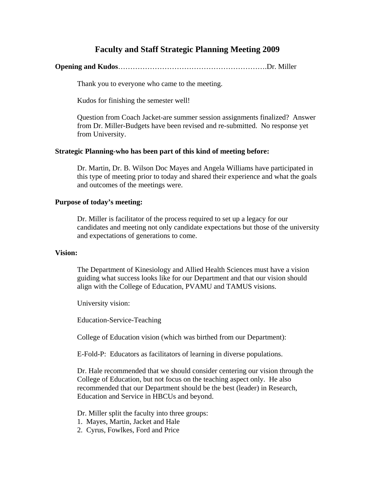## **Faculty and Staff Strategic Planning Meeting 2009**

**Opening and Kudos**…………………………………………………….Dr. Miller

Thank you to everyone who came to the meeting.

Kudos for finishing the semester well!

 Question from Coach Jacket-are summer session assignments finalized? Answer from Dr. Miller-Budgets have been revised and re-submitted. No response yet from University.

### **Strategic Planning-who has been part of this kind of meeting before:**

 Dr. Martin, Dr. B. Wilson Doc Mayes and Angela Williams have participated in this type of meeting prior to today and shared their experience and what the goals and outcomes of the meetings were.

#### **Purpose of today's meeting:**

 Dr. Miller is facilitator of the process required to set up a legacy for our candidates and meeting not only candidate expectations but those of the university and expectations of generations to come.

#### **Vision:**

 The Department of Kinesiology and Allied Health Sciences must have a vision guiding what success looks like for our Department and that our vision should align with the College of Education, PVAMU and TAMUS visions.

University vision:

Education-Service-Teaching

College of Education vision (which was birthed from our Department):

E-Fold-P: Educators as facilitators of learning in diverse populations.

 Dr. Hale recommended that we should consider centering our vision through the College of Education, but not focus on the teaching aspect only. He also recommended that our Department should be the best (leader) in Research, Education and Service in HBCUs and beyond.

Dr. Miller split the faculty into three groups:

- 1. Mayes, Martin, Jacket and Hale
- 2. Cyrus, Fowlkes, Ford and Price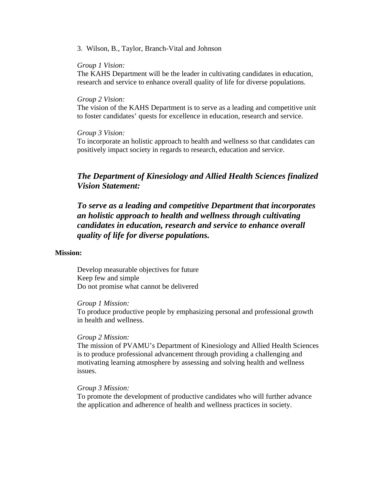#### 3. Wilson, B., Taylor, Branch-Vital and Johnson

#### *Group 1 Vision:*

 The KAHS Department will be the leader in cultivating candidates in education, research and service to enhance overall quality of life for diverse populations.

#### *Group 2 Vision:*

 The vision of the KAHS Department is to serve as a leading and competitive unit to foster candidates' quests for excellence in education, research and service.

#### *Group 3 Vision:*

 To incorporate an holistic approach to health and wellness so that candidates can positively impact society in regards to research, education and service.

## *The Department of Kinesiology and Allied Health Sciences finalized Vision Statement:*

 *To serve as a leading and competitive Department that incorporates an holistic approach to health and wellness through cultivating candidates in education, research and service to enhance overall quality of life for diverse populations.*

#### **Mission:**

 Develop measurable objectives for future Keep few and simple Do not promise what cannot be delivered

#### *Group 1 Mission:*

 To produce productive people by emphasizing personal and professional growth in health and wellness.

#### *Group 2 Mission:*

 The mission of PVAMU's Department of Kinesiology and Allied Health Sciences is to produce professional advancement through providing a challenging and motivating learning atmosphere by assessing and solving health and wellness issues.

### *Group 3 Mission:*

 To promote the development of productive candidates who will further advance the application and adherence of health and wellness practices in society.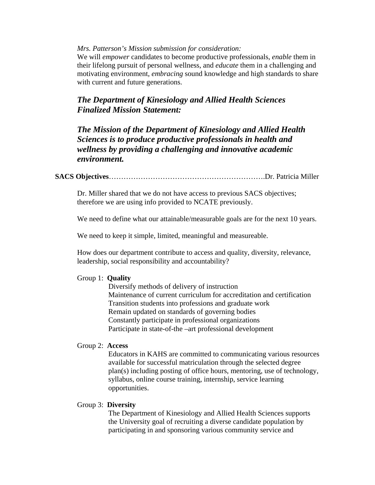*Mrs. Patterson's Mission submission for consideration:* 

 We will *empower* candidates to become productive professionals, *enable* them in their lifelong pursuit of personal wellness, and *educate* them in a challenging and motivating environment, *embracing* sound knowledge and high standards to share with current and future generations.

## *The Department of Kinesiology and Allied Health Sciences Finalized Mission Statement:*

 *The Mission of the Department of Kinesiology and Allied Health Sciences is to produce productive professionals in health and wellness by providing a challenging and innovative academic environment.* 

## **SACS Objectives**……………………………………………………….Dr. Patricia Miller

 Dr. Miller shared that we do not have access to previous SACS objectives; therefore we are using info provided to NCATE previously.

We need to define what our attainable/measurable goals are for the next 10 years.

We need to keep it simple, limited, meaningful and measureable.

 How does our department contribute to access and quality, diversity, relevance, leadership, social responsibility and accountability?

#### Group 1: **Quality**

 Diversify methods of delivery of instruction Maintenance of current curriculum for accreditation and certification Transition students into professions and graduate work Remain updated on standards of governing bodies Constantly participate in professional organizations Participate in state-of-the –art professional development

#### Group 2: **Access**

 Educators in KAHS are committed to communicating various resources available for successful matriculation through the selected degree plan(s) including posting of office hours, mentoring, use of technology, syllabus, online course training, internship, service learning opportunities.

#### Group 3: **Diversity**

 The Department of Kinesiology and Allied Health Sciences supports the University goal of recruiting a diverse candidate population by participating in and sponsoring various community service and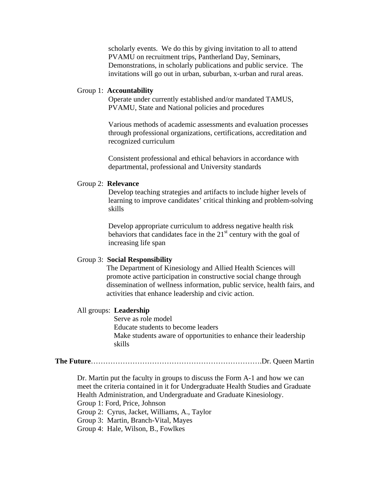scholarly events. We do this by giving invitation to all to attend PVAMU on recruitment trips, Pantherland Day, Seminars, Demonstrations, in scholarly publications and public service. The invitations will go out in urban, suburban, x-urban and rural areas.

#### Group 1: **Accountability**

 Operate under currently established and/or mandated TAMUS, PVAMU, State and National policies and procedures

 Various methods of academic assessments and evaluation processes through professional organizations, certifications, accreditation and recognized curriculum

 Consistent professional and ethical behaviors in accordance with departmental, professional and University standards

#### Group 2: **Relevance**

 Develop teaching strategies and artifacts to include higher levels of learning to improve candidates' critical thinking and problem-solving skills

 Develop appropriate curriculum to address negative health risk behaviors that candidates face in the  $21<sup>st</sup>$  century with the goal of increasing life span

#### Group 3: **Social Responsibility**

 The Department of Kinesiology and Allied Health Sciences will promote active participation in constructive social change through dissemination of wellness information, public service, health fairs, and activities that enhance leadership and civic action.

#### All groups: **Leadership**

 Serve as role model Educate students to become leaders Make students aware of opportunities to enhance their leadership skills

**The Future**…………………………………………………………….Dr. Queen Martin

 Dr. Martin put the faculty in groups to discuss the Form A-1 and how we can meet the criteria contained in it for Undergraduate Health Studies and Graduate Health Administration, and Undergraduate and Graduate Kinesiology. Group 1: Ford, Price, Johnson Group 2: Cyrus, Jacket, Williams, A., Taylor Group 3: Martin, Branch-Vital, Mayes Group 4: Hale, Wilson, B., Fowlkes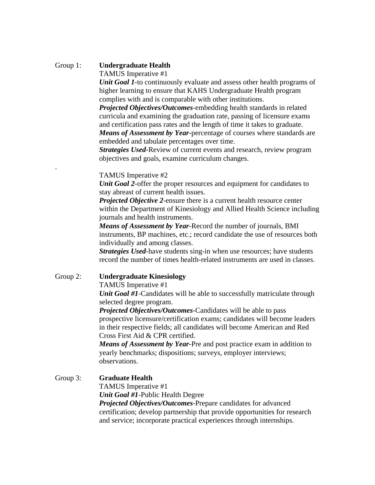## Group 1: **Undergraduate Health**

.

TAMUS Imperative #1

*Unit Goal 1*-to continuously evaluate and assess other health programs of higher learning to ensure that KAHS Undergraduate Health program complies with and is comparable with other institutions.

 *Projected Objectives/Outcomes*-embedding health standards in related curricula and examining the graduation rate, passing of licensure exams and certification pass rates and the length of time it takes to graduate. *Means of Assessment by Year*-percentage of courses where standards are embedded and tabulate percentages over time.

 *Strategies Used*-Review of current events and research, review program objectives and goals, examine curriculum changes.

#### TAMUS Imperative #2

 *Unit Goal 2*-offer the proper resources and equipment for candidates to stay abreast of current health issues.

 *Projected Objective 2*-ensure there is a current health resource center within the Department of Kinesiology and Allied Health Science including journals and health instruments.

 *Means of Assessment by Year*-Record the number of journals, BMI instruments, BP machines, etc.; record candidate the use of resources both individually and among classes.

 *Strategies Used*-have students sing-in when use resources; have students record the number of times health-related instruments are used in classes.

## Group 2: **Undergraduate Kinesiology**

TAMUS Imperative #1

*Unit Goal #1*-Candidates will be able to successfully matriculate through selected degree program.

 *Projected Objectives/Outcomes*-Candidates will be able to pass prospective licensure/certification exams; candidates will become leaders in their respective fields; all candidates will become American and Red Cross First Aid & CPR certified.

 *Means of Assessment by Year*-Pre and post practice exam in addition to yearly benchmarks; dispositions; surveys, employer interviews; observations.

## Group 3: **Graduate Health**

TAMUS Imperative #1

*Unit Goal #1*-Public Health Degree

 *Projected Objectives/Outcomes*-Prepare candidates for advanced certification; develop partnership that provide opportunities for research and service; incorporate practical experiences through internships.